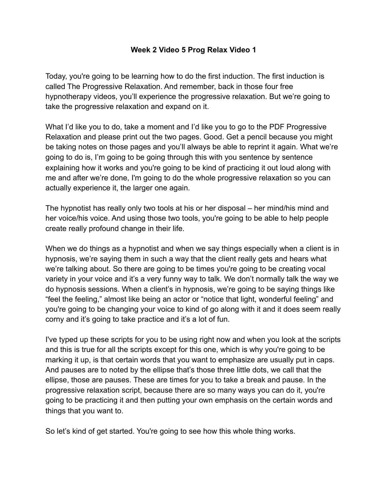## **Week 2 Video 5 Prog Relax Video 1**

Today, you're going to be learning how to do the first induction. The first induction is called The Progressive Relaxation. And remember, back in those four free hypnotherapy videos, you'll experience the progressive relaxation. But we're going to take the progressive relaxation and expand on it.

What I'd like you to do, take a moment and I'd like you to go to the PDF Progressive Relaxation and please print out the two pages. Good. Get a pencil because you might be taking notes on those pages and you'll always be able to reprint it again. What we're going to do is, I'm going to be going through this with you sentence by sentence explaining how it works and you're going to be kind of practicing it out loud along with me and after we're done, I'm going to do the whole progressive relaxation so you can actually experience it, the larger one again.

The hypnotist has really only two tools at his or her disposal – her mind/his mind and her voice/his voice. And using those two tools, you're going to be able to help people create really profound change in their life.

When we do things as a hypnotist and when we say things especially when a client is in hypnosis, we're saying them in such a way that the client really gets and hears what we're talking about. So there are going to be times you're going to be creating vocal variety in your voice and it's a very funny way to talk. We don't normally talk the way we do hypnosis sessions. When a client's in hypnosis, we're going to be saying things like "feel the feeling," almost like being an actor or "notice that light, wonderful feeling" and you're going to be changing your voice to kind of go along with it and it does seem really corny and it's going to take practice and it's a lot of fun.

I've typed up these scripts for you to be using right now and when you look at the scripts and this is true for all the scripts except for this one, which is why you're going to be marking it up, is that certain words that you want to emphasize are usually put in caps. And pauses are to noted by the ellipse that's those three little dots, we call that the ellipse, those are pauses. These are times for you to take a break and pause. In the progressive relaxation script, because there are so many ways you can do it, you're going to be practicing it and then putting your own emphasis on the certain words and things that you want to.

So let's kind of get started. You're going to see how this whole thing works.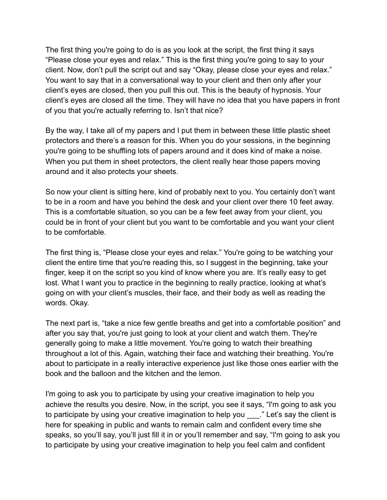The first thing you're going to do is as you look at the script, the first thing it says "Please close your eyes and relax." This is the first thing you're going to say to your client. Now, don't pull the script out and say "Okay, please close your eyes and relax." You want to say that in a conversational way to your client and then only after your client's eyes are closed, then you pull this out. This is the beauty of hypnosis. Your client's eyes are closed all the time. They will have no idea that you have papers in front of you that you're actually referring to. Isn't that nice?

By the way, I take all of my papers and I put them in between these little plastic sheet protectors and there's a reason for this. When you do your sessions, in the beginning you're going to be shuffling lots of papers around and it does kind of make a noise. When you put them in sheet protectors, the client really hear those papers moving around and it also protects your sheets.

So now your client is sitting here, kind of probably next to you. You certainly don't want to be in a room and have you behind the desk and your client over there 10 feet away. This is a comfortable situation, so you can be a few feet away from your client, you could be in front of your client but you want to be comfortable and you want your client to be comfortable.

The first thing is, "Please close your eyes and relax." You're going to be watching your client the entire time that you're reading this, so I suggest in the beginning, take your finger, keep it on the script so you kind of know where you are. It's really easy to get lost. What I want you to practice in the beginning to really practice, looking at what's going on with your client's muscles, their face, and their body as well as reading the words. Okay.

The next part is, "take a nice few gentle breaths and get into a comfortable position" and after you say that, you're just going to look at your client and watch them. They're generally going to make a little movement. You're going to watch their breathing throughout a lot of this. Again, watching their face and watching their breathing. You're about to participate in a really interactive experience just like those ones earlier with the book and the balloon and the kitchen and the lemon.

I'm going to ask you to participate by using your creative imagination to help you achieve the results you desire. Now, in the script, you see it says, "I'm going to ask you to participate by using your creative imagination to help you ...." Let's say the client is here for speaking in public and wants to remain calm and confident every time she speaks, so you'll say, you'll just fill it in or you'll remember and say, "I'm going to ask you to participate by using your creative imagination to help you feel calm and confident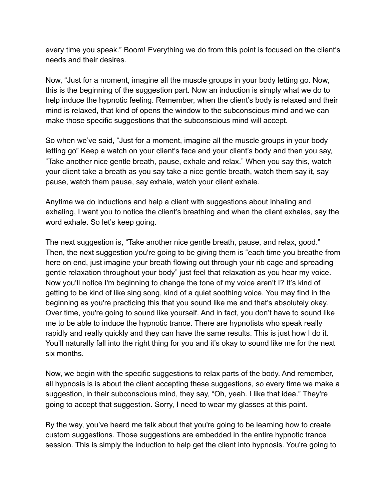every time you speak." Boom! Everything we do from this point is focused on the client's needs and their desires.

Now, "Just for a moment, imagine all the muscle groups in your body letting go. Now, this is the beginning of the suggestion part. Now an induction is simply what we do to help induce the hypnotic feeling. Remember, when the client's body is relaxed and their mind is relaxed, that kind of opens the window to the subconscious mind and we can make those specific suggestions that the subconscious mind will accept.

So when we've said, "Just for a moment, imagine all the muscle groups in your body letting go" Keep a watch on your client's face and your client's body and then you say, "Take another nice gentle breath, pause, exhale and relax." When you say this, watch your client take a breath as you say take a nice gentle breath, watch them say it, say pause, watch them pause, say exhale, watch your client exhale.

Anytime we do inductions and help a client with suggestions about inhaling and exhaling, I want you to notice the client's breathing and when the client exhales, say the word exhale. So let's keep going.

The next suggestion is, "Take another nice gentle breath, pause, and relax, good." Then, the next suggestion you're going to be giving them is "each time you breathe from here on end, just imagine your breath flowing out through your rib cage and spreading gentle relaxation throughout your body" just feel that relaxation as you hear my voice. Now you'll notice I'm beginning to change the tone of my voice aren't I? It's kind of getting to be kind of like sing song, kind of a quiet soothing voice. You may find in the beginning as you're practicing this that you sound like me and that's absolutely okay. Over time, you're going to sound like yourself. And in fact, you don't have to sound like me to be able to induce the hypnotic trance. There are hypnotists who speak really rapidly and really quickly and they can have the same results. This is just how I do it. You'll naturally fall into the right thing for you and it's okay to sound like me for the next six months.

Now, we begin with the specific suggestions to relax parts of the body. And remember, all hypnosis is is about the client accepting these suggestions, so every time we make a suggestion, in their subconscious mind, they say, "Oh, yeah. I like that idea." They're going to accept that suggestion. Sorry, I need to wear my glasses at this point.

By the way, you've heard me talk about that you're going to be learning how to create custom suggestions. Those suggestions are embedded in the entire hypnotic trance session. This is simply the induction to help get the client into hypnosis. You're going to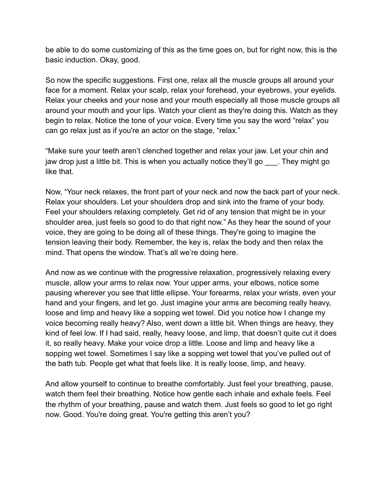be able to do some customizing of this as the time goes on, but for right now, this is the basic induction. Okay, good.

So now the specific suggestions. First one, relax all the muscle groups all around your face for a moment. Relax your scalp, relax your forehead, your eyebrows, your eyelids. Relax your cheeks and your nose and your mouth especially all those muscle groups all around your mouth and your lips. Watch your client as they're doing this. Watch as they begin to relax. Notice the tone of your voice. Every time you say the word "relax" you can go relax just as if you're an actor on the stage, "relax."

"Make sure your teeth aren't clenched together and relax your jaw. Let your chin and jaw drop just a little bit. This is when you actually notice they'll go They might go like that.

Now, "Your neck relaxes, the front part of your neck and now the back part of your neck. Relax your shoulders. Let your shoulders drop and sink into the frame of your body. Feel your shoulders relaxing completely. Get rid of any tension that might be in your shoulder area, just feels so good to do that right now." As they hear the sound of your voice, they are going to be doing all of these things. They're going to imagine the tension leaving their body. Remember, the key is, relax the body and then relax the mind. That opens the window. That's all we're doing here.

And now as we continue with the progressive relaxation, progressively relaxing every muscle, allow your arms to relax now. Your upper arms, your elbows, notice some pausing wherever you see that little ellipse. Your forearms, relax your wrists, even your hand and your fingers, and let go. Just imagine your arms are becoming really heavy, loose and limp and heavy like a sopping wet towel. Did you notice how I change my voice becoming really heavy? Also, went down a little bit. When things are heavy, they kind of feel low. If I had said, really, heavy loose, and limp, that doesn't quite cut it does it, so really heavy. Make your voice drop a little. Loose and limp and heavy like a sopping wet towel. Sometimes I say like a sopping wet towel that you've pulled out of the bath tub. People get what that feels like. It is really loose, limp, and heavy.

And allow yourself to continue to breathe comfortably. Just feel your breathing, pause, watch them feel their breathing. Notice how gentle each inhale and exhale feels. Feel the rhythm of your breathing, pause and watch them. Just feels so good to let go right now. Good. You're doing great. You're getting this aren't you?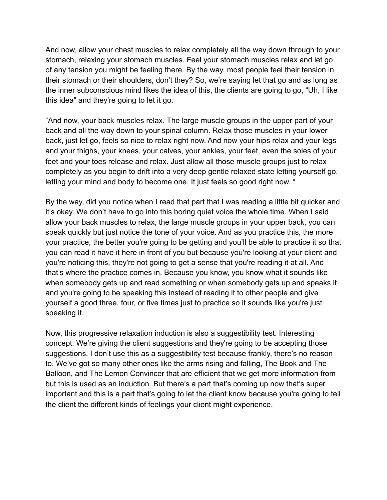And now, allow your chest muscles to relax completely all the way down through to your stomach, relaxing your stomach muscles. Feel your stomach muscles relax and let go of any tension you might be feeling there. By the way, most people feel their tension in their stomach or their shoulders, don't they? So, we're saying let that go and as long as the inner subconscious mind likes the idea of this, the clients are going to go, "Uh, I like this idea" and they're going to let it go.

"And now, your back muscles relax. The large muscle groups in the upper part of your back and all the way down to your spinal column. Relax those muscles in your lower back, just let go, feels so nice to relax right now. And now your hips relax and your legs and your thighs, your knees, your calves, your ankles, your feet, even the soles of your feet and your toes release and relax. Just allow all those muscle groups just to relax completely as you begin to drift into a very deep gentle relaxed state letting yourself go, letting your mind and body to become one. It just feels so good right now. "

By the way, did you notice when I read that part that I was reading a little bit quicker and it's okay. We don't have to go into this boring quiet voice the whole time. When I said allow your back muscles to relax, the large muscle groups in your upper back, you can speak quickly but just notice the tone of your voice. And as you practice this, the more your practice, the better you're going to be getting and you'll be able to practice it so that you can read it have it here in front of you but because you're looking at your client and you're noticing this, they're not going to get a sense that you're reading it at all. And that's where the practice comes in. Because you know, you know what it sounds like when somebody gets up and read something or when somebody gets up and speaks it and you're going to be speaking this instead of reading it to other people and give yourself a good three, four, or five times just to practice so it sounds like you're just speaking it.

Now, this progressive relaxation induction is also a suggestibility test. Interesting concept. We're giving the client suggestions and they're going to be accepting those suggestions. I don't use this as a suggestibility test because frankly, there's no reason to. We've got so many other ones like the arms rising and falling, The Book and The Balloon, and The Lemon Convincer that are efficient that we get more information from but this is used as an induction. But there's a part that's coming up now that's super important and this is a part that's going to let the client know because you're going to tell the client the different kinds of feelings your client might experience.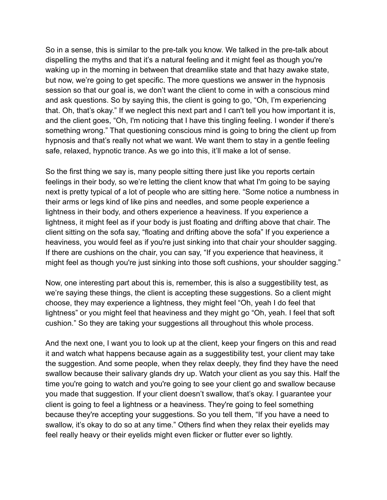So in a sense, this is similar to the pre-talk you know. We talked in the pre-talk about dispelling the myths and that it's a natural feeling and it might feel as though you're waking up in the morning in between that dreamlike state and that hazy awake state, but now, we're going to get specific. The more questions we answer in the hypnosis session so that our goal is, we don't want the client to come in with a conscious mind and ask questions. So by saying this, the client is going to go, "Oh, I'm experiencing that. Oh, that's okay." If we neglect this next part and I can't tell you how important it is, and the client goes, "Oh, I'm noticing that I have this tingling feeling. I wonder if there's something wrong." That questioning conscious mind is going to bring the client up from hypnosis and that's really not what we want. We want them to stay in a gentle feeling safe, relaxed, hypnotic trance. As we go into this, it'll make a lot of sense.

So the first thing we say is, many people sitting there just like you reports certain feelings in their body, so we're letting the client know that what I'm going to be saying next is pretty typical of a lot of people who are sitting here. "Some notice a numbness in their arms or legs kind of like pins and needles, and some people experience a lightness in their body, and others experience a heaviness. If you experience a lightness, it might feel as if your body is just floating and drifting above that chair. The client sitting on the sofa say, "floating and drifting above the sofa" If you experience a heaviness, you would feel as if you're just sinking into that chair your shoulder sagging. If there are cushions on the chair, you can say, "If you experience that heaviness, it might feel as though you're just sinking into those soft cushions, your shoulder sagging."

Now, one interesting part about this is, remember, this is also a suggestibility test, as we're saying these things, the client is accepting these suggestions. So a client might choose, they may experience a lightness, they might feel "Oh, yeah I do feel that lightness" or you might feel that heaviness and they might go "Oh, yeah. I feel that soft cushion." So they are taking your suggestions all throughout this whole process.

And the next one, I want you to look up at the client, keep your fingers on this and read it and watch what happens because again as a suggestibility test, your client may take the suggestion. And some people, when they relax deeply, they find they have the need swallow because their salivary glands dry up. Watch your client as you say this. Half the time you're going to watch and you're going to see your client go and swallow because you made that suggestion. If your client doesn't swallow, that's okay. I guarantee your client is going to feel a lightness or a heaviness. They're going to feel something because they're accepting your suggestions. So you tell them, "If you have a need to swallow, it's okay to do so at any time." Others find when they relax their eyelids may feel really heavy or their eyelids might even flicker or flutter ever so lightly.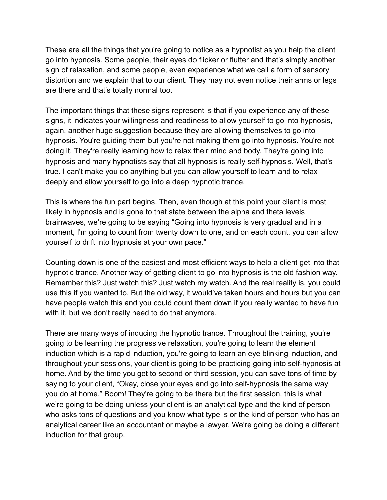These are all the things that you're going to notice as a hypnotist as you help the client go into hypnosis. Some people, their eyes do flicker or flutter and that's simply another sign of relaxation, and some people, even experience what we call a form of sensory distortion and we explain that to our client. They may not even notice their arms or legs are there and that's totally normal too.

The important things that these signs represent is that if you experience any of these signs, it indicates your willingness and readiness to allow yourself to go into hypnosis, again, another huge suggestion because they are allowing themselves to go into hypnosis. You're guiding them but you're not making them go into hypnosis. You're not doing it. They're really learning how to relax their mind and body. They're going into hypnosis and many hypnotists say that all hypnosis is really self-hypnosis. Well, that's true. I can't make you do anything but you can allow yourself to learn and to relax deeply and allow yourself to go into a deep hypnotic trance.

This is where the fun part begins. Then, even though at this point your client is most likely in hypnosis and is gone to that state between the alpha and theta levels brainwaves, we're going to be saying "Going into hypnosis is very gradual and in a moment, I'm going to count from twenty down to one, and on each count, you can allow yourself to drift into hypnosis at your own pace."

Counting down is one of the easiest and most efficient ways to help a client get into that hypnotic trance. Another way of getting client to go into hypnosis is the old fashion way. Remember this? Just watch this? Just watch my watch. And the real reality is, you could use this if you wanted to. But the old way, it would've taken hours and hours but you can have people watch this and you could count them down if you really wanted to have fun with it, but we don't really need to do that anymore.

There are many ways of inducing the hypnotic trance. Throughout the training, you're going to be learning the progressive relaxation, you're going to learn the element induction which is a rapid induction, you're going to learn an eye blinking induction, and throughout your sessions, your client is going to be practicing going into self-hypnosis at home. And by the time you get to second or third session, you can save tons of time by saying to your client, "Okay, close your eyes and go into self-hypnosis the same way you do at home." Boom! They're going to be there but the first session, this is what we're going to be doing unless your client is an analytical type and the kind of person who asks tons of questions and you know what type is or the kind of person who has an analytical career like an accountant or maybe a lawyer. We're going be doing a different induction for that group.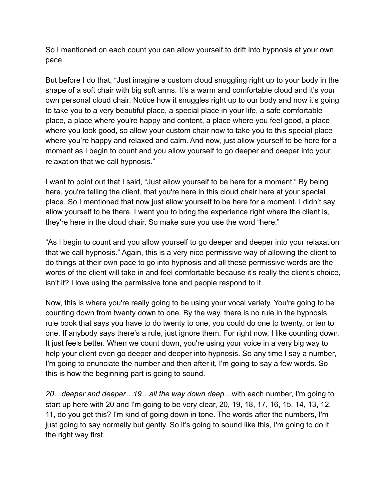So I mentioned on each count you can allow yourself to drift into hypnosis at your own pace.

But before I do that, "Just imagine a custom cloud snuggling right up to your body in the shape of a soft chair with big soft arms. It's a warm and comfortable cloud and it's your own personal cloud chair. Notice how it snuggles right up to our body and now it's going to take you to a very beautiful place, a special place in your life, a safe comfortable place, a place where you're happy and content, a place where you feel good, a place where you look good, so allow your custom chair now to take you to this special place where you're happy and relaxed and calm. And now, just allow yourself to be here for a moment as I begin to count and you allow yourself to go deeper and deeper into your relaxation that we call hypnosis."

I want to point out that I said, "Just allow yourself to be here for a moment." By being here, you're telling the client, that you're here in this cloud chair here at your special place. So I mentioned that now just allow yourself to be here for a moment. I didn't say allow yourself to be there. I want you to bring the experience right where the client is, they're here in the cloud chair. So make sure you use the word "here."

"As I begin to count and you allow yourself to go deeper and deeper into your relaxation that we call hypnosis." Again, this is a very nice permissive way of allowing the client to do things at their own pace to go into hypnosis and all these permissive words are the words of the client will take in and feel comfortable because it's really the client's choice, isn't it? I love using the permissive tone and people respond to it.

Now, this is where you're really going to be using your vocal variety. You're going to be counting down from twenty down to one. By the way, there is no rule in the hypnosis rule book that says you have to do twenty to one, you could do one to twenty, or ten to one. If anybody says there's a rule, just ignore them. For right now, I like counting down. It just feels better. When we count down, you're using your voice in a very big way to help your client even go deeper and deeper into hypnosis. So any time I say a number, I'm going to enunciate the number and then after it, I'm going to say a few words. So this is how the beginning part is going to sound.

*20…deeper and deeper…19…all the way down deep…*with each number, I'm going to start up here with 20 and I'm going to be very clear, 20, 19, 18, 17, 16, 15, 14, 13, 12, 11, do you get this? I'm kind of going down in tone. The words after the numbers, I'm just going to say normally but gently. So it's going to sound like this, I'm going to do it the right way first.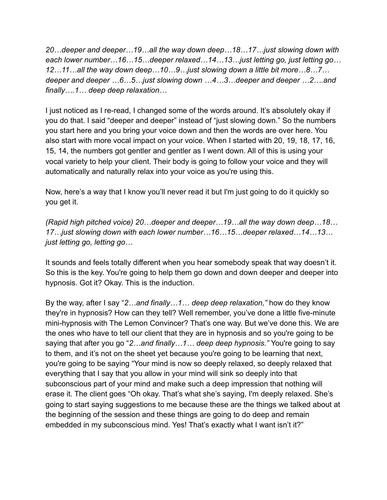*20…deeper and deeper…19…all the way down deep…18…17…just slowing down with each lower number…16…15…deeper relaxed…14…13…just letting go, just letting go… 12…11…all the way down deep…10…9…just slowing down a little bit more…8…7… deeper and deeper …6…5…just slowing down …4…3…deeper and deeper …2….and finally….1… deep deep relaxation…*

I just noticed as I re-read, I changed some of the words around. It's absolutely okay if you do that. I said "deeper and deeper" instead of "just slowing down." So the numbers you start here and you bring your voice down and then the words are over here. You also start with more vocal impact on your voice. When I started with 20, 19, 18, 17, 16, 15, 14, the numbers got gentler and gentler as I went down. All of this is using your vocal variety to help your client. Their body is going to follow your voice and they will automatically and naturally relax into your voice as you're using this.

Now, here's a way that I know you'll never read it but I'm just going to do it quickly so you get it.

*(Rapid high pitched voice) 20…deeper and deeper…19…all the way down deep…18… 17…just slowing down with each lower number…16…15…deeper relaxed…14…13… just letting go, letting go…*

It sounds and feels totally different when you hear somebody speak that way doesn't it. So this is the key. You're going to help them go down and down deeper and deeper into hypnosis. Got it? Okay. This is the induction.

By the way, after I say "*2…and finally…1… deep deep relaxation,"* how do they know they're in hypnosis? How can they tell? Well remember, you've done a little five-minute mini-hypnosis with The Lemon Convincer? That's one way. But we've done this. We are the ones who have to tell our client that they are in hypnosis and so you're going to be saying that after you go "*2…and finally…1… deep deep hypnosis."* You're going to say to them, and it's not on the sheet yet because you're going to be learning that next, you're going to be saying "Your mind is now so deeply relaxed, so deeply relaxed that everything that I say that you allow in your mind will sink so deeply into that subconscious part of your mind and make such a deep impression that nothing will erase it. The client goes "Oh okay. That's what she's saying, I'm deeply relaxed. She's going to start saying suggestions to me because these are the things we talked about at the beginning of the session and these things are going to do deep and remain embedded in my subconscious mind. Yes! That's exactly what I want isn't it?"